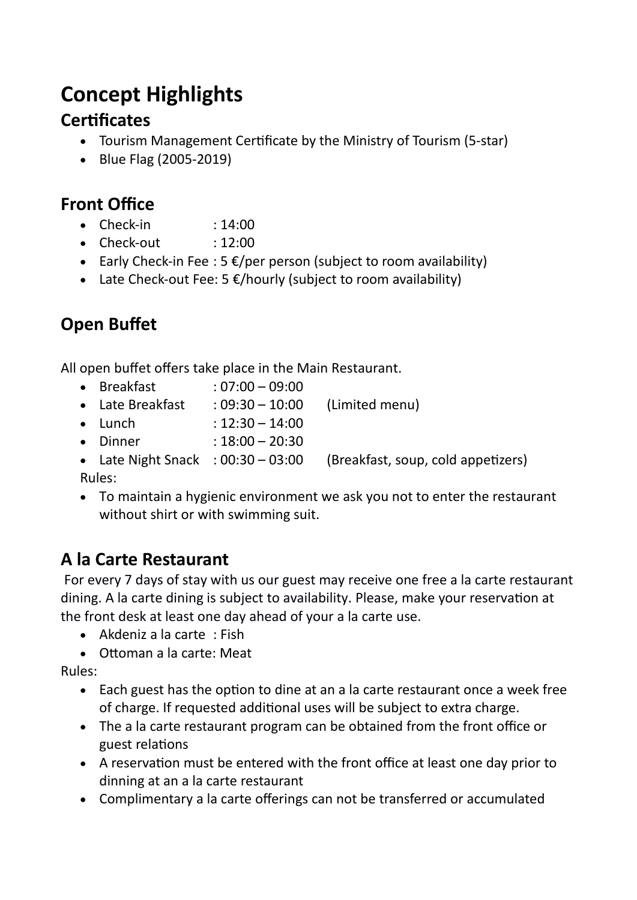# **Concept Highlights**

### **Certificates**

- Tourism Management Certificate by the Ministry of Tourism (5-star)
- Blue Flag (2005-2019)

## **Front Office**

- $\bullet$  Check-in : 14:00
- $\bullet$  Check-out : 12:00
- Early Check-in Fee : 5  $E/per$  person (subject to room availability)
- Late Check-out Fee: 5  $E/h$ ourly (subject to room availability)

## **Open Bufet**

All open buffet offers take place in the Main Restaurant.

- Breakfast : 07:00 09:00
- Late Breakfast : 09:30 10:00 (Limited menu)
- Lunch  $: 12:30 14:00$
- Dinner : 18:00 20:30
- Late Night Snack  $: 00:30 03:00$  (Breakfast, soup, cold appetizers) Rules:
- To maintain a hygienic environment we ask you not to enter the restaurant without shirt or with swimming suit.

## **A la Carte Restaurant**

For every 7 days of stay with us our guest may receive one free a la carte restaurant dining. A la carte dining is subject to availability. Please, make your reservation at the front desk at least one day ahead of your a la carte use.

- $\bullet$  Akdeniz a la carte : Fish
- Ottoman a la carte: Meat

Rules:

- Each guest has the option to dine at an a la carte restaurant once a week free of charge. If requested additional uses will be subject to extra charge.
- The a la carte restaurant program can be obtained from the front office or guest relatons
- A reservation must be entered with the front office at least one day prior to dinning at an a la carte restaurant
- Complimentary a la carte offerings can not be transferred or accumulated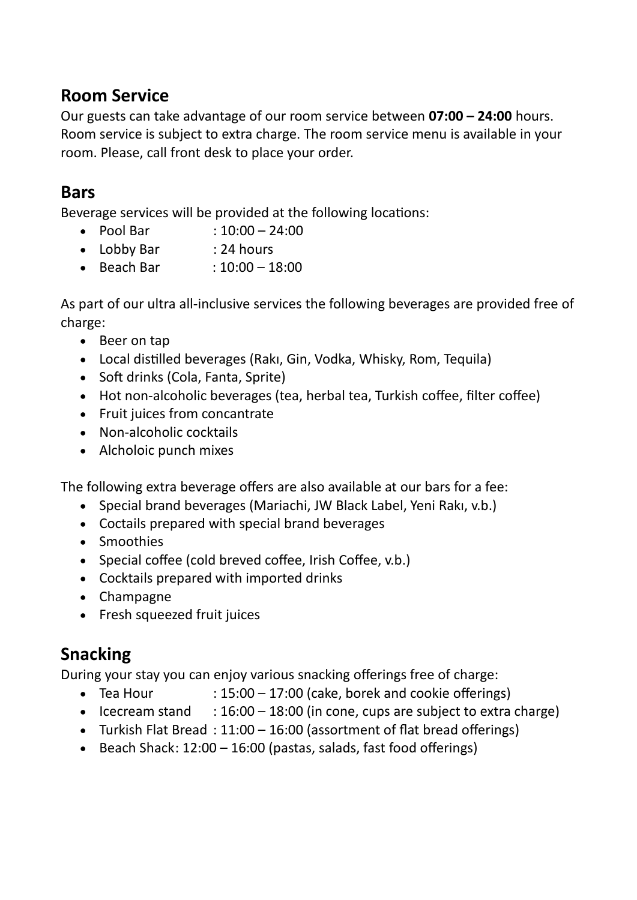#### **Room Service**

Our guests can take advantage of our room service between **07:00 – 24:00** hours. Room service is subject to extra charge. The room service menu is available in your room. Please, call front desk to place your order.

#### **Bars**

Beverage services will be provided at the following locations:

- Pool Bar :  $10:00 24:00$
- Lobby Bar : 24 hours
- $\bullet$  Beach Bar :  $10:00 18:00$

As part of our ultra all-inclusive services the following beverages are provided free of charge:

- Beer on tap
- Local distilled beverages (Rakı, Gin, Vodka, Whisky, Rom, Tequila)
- Soft drinks (Cola, Fanta, Sprite)
- Hot non-alcoholic beverages (tea, herbal tea, Turkish coffee, filter coffee)
- Fruit juices from concantrate
- $\bullet$  Non-alcoholic cocktails
- Alcholoic punch mixes

The following extra beverage offers are also available at our bars for a fee:

- Special brand beverages (Mariachi, JW Black Label, Yeni Rakı, v.b.)
- $\bullet$  Coctails prepared with special brand beverages
- Smoothies
- Special coffee (cold breved coffee, Irish Coffee, v.b.)
- Cocktails prepared with imported drinks
- Champagne
- Fresh squeezed fruit juices

#### **Snacking**

During your stay you can enjoy various snacking offerings free of charge:

- Tea Hour  $: 15:00 17:00$  (cake, borek and cookie offerings)
- Icecream stand  $: 16:00 18:00$  (in cone, cups are subject to extra charge)
- Turkish Flat Bread :  $11:00 16:00$  (assortment of flat bread offerings)
- Beach Shack:  $12:00 16:00$  (pastas, salads, fast food offerings)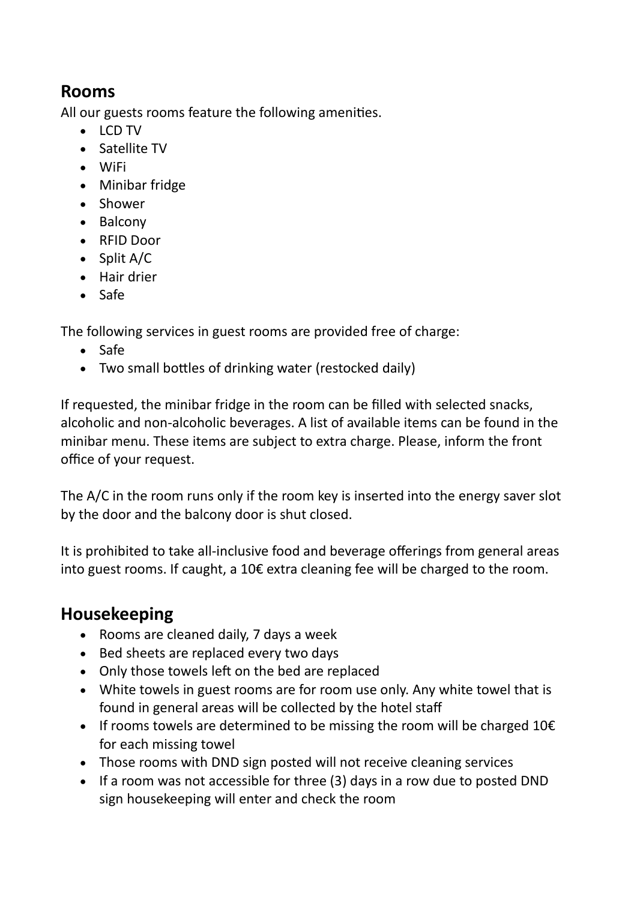#### **Rooms**

All our guests rooms feature the following amenites.

- LCD TV
- Satellite TV
- WiFi
- Minibar fridge
- Shower
- Balcony
- RFID Door
- Split A/C
- Hair drier
- Safe

The following services in guest rooms are provided free of charge:

- Safe
- Two small bottles of drinking water (restocked daily)

If requested, the minibar fridge in the room can be filled with selected snacks, alcoholic and non-alcoholic beverages. A list of available items can be found in the minibar menu. These items are subject to extra charge. Please, inform the front office of your request.

The A/C in the room runs only if the room key is inserted into the energy saver slot by the door and the balcony door is shut closed.

It is prohibited to take all-inclusive food and beverage offerings from general areas into guest rooms. If caught, a 10€ extra cleaning fee will be charged to the room.

#### **Housekeeping**

- Rooms are cleaned daily, 7 days a week
- Bed sheets are replaced every two days
- Only those towels left on the bed are replaced
- White towels in guest rooms are for room use only. Any white towel that is found in general areas will be collected by the hotel staff
- If rooms towels are determined to be missing the room will be charged  $10 \epsilon$ for each missing towel
- Those rooms with DND sign posted will not receive cleaning services
- $\bullet$  If a room was not accessible for three (3) days in a row due to posted DND sign housekeeping will enter and check the room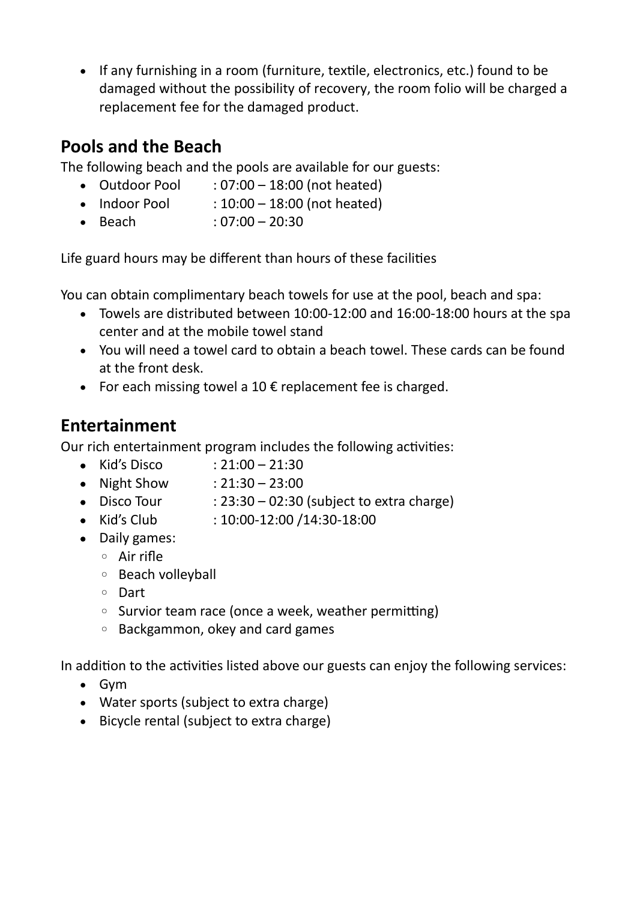• If any furnishing in a room (furniture, textile, electronics, etc.) found to be damaged without the possibility of recovery, the room folio will be charged a replacement fee for the damaged product.

#### **Pools and the Beach**

The following beach and the pools are available for our guests:

- Outdoor Pool  $: 07:00 18:00$  (not heated)
- $\bullet$  Indoor Pool :  $10:00 18:00$  (not heated)
- $\bullet$  Beach : 07:00 20:30

Life guard hours may be different than hours of these facilities

You can obtain complimentary beach towels for use at the pool, beach and spa:

- Towels are distributed between 10:00-12:00 and 16:00-18:00 hours at the spa center and at the mobile towel stand
- You will need a towel card to obtain a beach towel. These cards can be found at the front desk.
- For each missing towel a 10  $\epsilon$  replacement fee is charged.

## **Entertainment**

Our rich entertainment program includes the following activities:

- Kid's Disco :  $21:00 21:30$
- Night Show :  $21:30 23:00$
- Disco Tour  $: 23:30 02:30$  (subject to extra charge)
- Kid's Club : 10:00-12:00 /14:30-18:00
- Daily games:
	- Air rife
	- Beafh volleyball
	- Dart
	- Survior team race (once a week, weather permitting)
	- Bafkgammon, okey and fard games

In addition to the activities listed above our guests can enjoy the following services:

- Gvm
- Water sports (subject to extra charge)
- Bicycle rental (subject to extra charge)